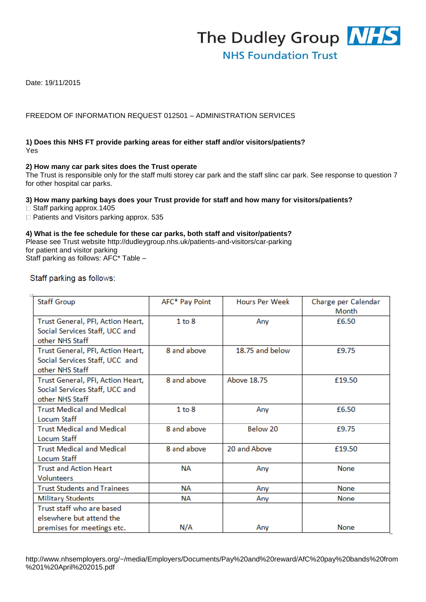

Date: 19/11/2015

# FREEDOM OF INFORMATION REQUEST 012501 – ADMINISTRATION SERVICES

# **1) Does this NHS FT provide parking areas for either staff and/or visitors/patients?**  Yes

# **2) How many car park sites does the Trust operate**

The Trust is responsible only for the staff multi storey car park and the staff slinc car park. See response to question 7 for other hospital car parks.

# **3) How many parking bays does your Trust provide for staff and how many for visitors/patients?**

 $\Box$  Staff parking approx.1405

□ Patients and Visitors parking approx. 535

# **4) What is the fee schedule for these car parks, both staff and visitor/patients?**

Please see Trust website http://dudleygroup.nhs.uk/patients-and-visitors/car-parking for patient and visitor parking

Staff parking as follows: AFC\* Table –

# Staff parking as follows:

| <b>Staff Group</b>                 | AFC* Pay Point | <b>Hours Per Week</b> | Charge per Calendar |
|------------------------------------|----------------|-----------------------|---------------------|
|                                    |                |                       | Month               |
| Trust General, PFI, Action Heart,  | $1$ to $8$     | Any                   | £6.50               |
| Social Services Staff, UCC and     |                |                       |                     |
| other NHS Staff                    |                |                       |                     |
| Trust General, PFI, Action Heart,  | 8 and above    | 18.75 and below       | £9.75               |
| Social Services Staff, UCC and     |                |                       |                     |
| other NHS Staff                    |                |                       |                     |
| Trust General, PFI, Action Heart,  | 8 and above    | <b>Above 18.75</b>    | £19.50              |
| Social Services Staff, UCC and     |                |                       |                     |
| other NHS Staff                    |                |                       |                     |
| <b>Trust Medical and Medical</b>   | $1$ to $8$     | Any                   | £6.50               |
| Locum Staff                        |                |                       |                     |
| <b>Trust Medical and Medical</b>   | 8 and above    | Below 20              | £9.75               |
| <b>Locum Staff</b>                 |                |                       |                     |
| <b>Trust Medical and Medical</b>   | 8 and above    | 20 and Above          | £19.50              |
| Locum Staff                        |                |                       |                     |
| <b>Trust and Action Heart</b>      | ΝA             | Any                   | <b>None</b>         |
| <b>Volunteers</b>                  |                |                       |                     |
| <b>Trust Students and Trainees</b> | ΝA             | Any                   | <b>None</b>         |
| <b>Military Students</b>           | NA             | Any                   | <b>None</b>         |
| Trust staff who are based          |                |                       |                     |
| elsewhere but attend the           |                |                       |                     |
| premises for meetings etc.         | N/A            | Any                   | None                |